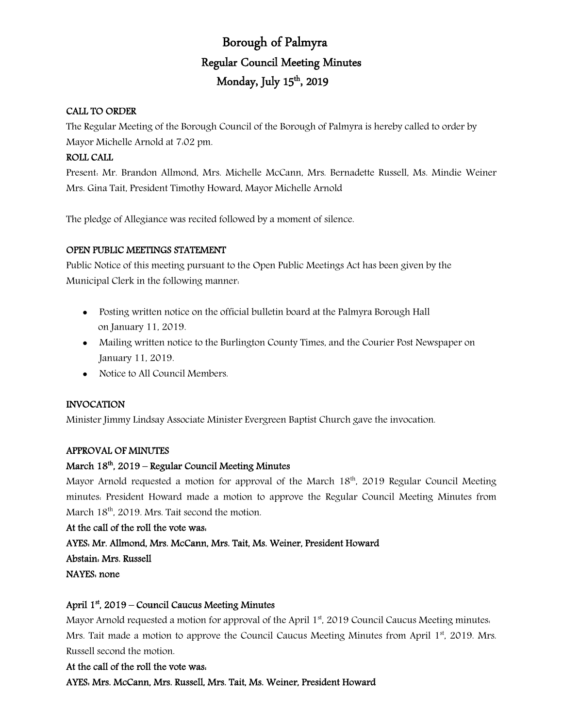# Borough of Palmyra Regular Council Meeting Minutes Monday, July 15th, 2019

### CALL TO ORDER

The Regular Meeting of the Borough Council of the Borough of Palmyra is hereby called to order by Mayor Michelle Arnold at 7:02 pm.

# ROLL CALL

Present: Mr. Brandon Allmond, Mrs. Michelle McCann, Mrs. Bernadette Russell, Ms. Mindie Weiner Mrs. Gina Tait, President Timothy Howard, Mayor Michelle Arnold

The pledge of Allegiance was recited followed by a moment of silence.

### OPEN PUBLIC MEETINGS STATEMENT

Public Notice of this meeting pursuant to the Open Public Meetings Act has been given by the Municipal Clerk in the following manner:

- Posting written notice on the official bulletin board at the Palmyra Borough Hall on January 11, 2019.
- Mailing written notice to the Burlington County Times, and the Courier Post Newspaper on January 11, 2019.
- Notice to All Council Members.

# INVOCATION

Minister Jimmy Lindsay Associate Minister Evergreen Baptist Church gave the invocation.

# APPROVAL OF MINUTES

# March  $18<sup>th</sup>$ , 2019 – Regular Council Meeting Minutes

Mayor Arnold requested a motion for approval of the March  $18<sup>th</sup>$ , 2019 Regular Council Meeting minutes: President Howard made a motion to approve the Regular Council Meeting Minutes from March 18<sup>th</sup>, 2019. Mrs. Tait second the motion.

#### At the call of the roll the vote was:

# AYES: Mr. Allmond, Mrs. McCann, Mrs. Tait, Ms. Weiner, President Howard

Abstain: Mrs. Russell

NAYES: none

# April 1st , 2019 – Council Caucus Meeting Minutes

Mayor Arnold requested a motion for approval of the April  $1<sup>st</sup>$ , 2019 Council Caucus Meeting minutes. Mrs. Tait made a motion to approve the Council Caucus Meeting Minutes from April  $1<sup>st</sup>$ , 2019. Mrs. Russell second the motion.

# At the call of the roll the vote was:

AYES: Mrs. McCann, Mrs. Russell, Mrs. Tait, Ms. Weiner, President Howard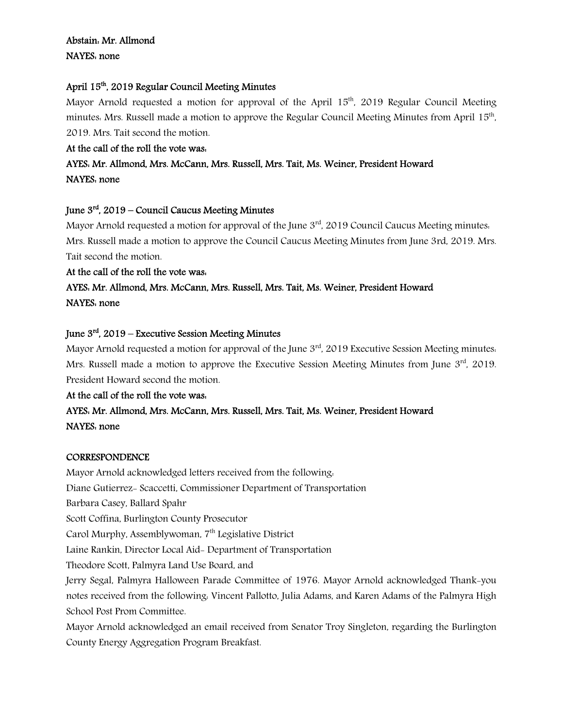# Abstain: Mr. Allmond NAYES: none

# April 15th, 2019 Regular Council Meeting Minutes

Mayor Arnold requested a motion for approval of the April  $15<sup>th</sup>$ , 2019 Regular Council Meeting minutes: Mrs. Russell made a motion to approve the Regular Council Meeting Minutes from April 15<sup>th</sup>, 2019. Mrs. Tait second the motion.

# At the call of the roll the vote was:

# AYES: Mr. Allmond, Mrs. McCann, Mrs. Russell, Mrs. Tait, Ms. Weiner, President Howard NAYES: none

# June  $3<sup>rd</sup>$ , 2019 – Council Caucus Meeting Minutes

Mayor Arnold requested a motion for approval of the June  $3<sup>rd</sup>$ , 2019 Council Caucus Meeting minutes. Mrs. Russell made a motion to approve the Council Caucus Meeting Minutes from June 3rd, 2019. Mrs. Tait second the motion.

### At the call of the roll the vote was:

# AYES: Mr. Allmond, Mrs. McCann, Mrs. Russell, Mrs. Tait, Ms. Weiner, President Howard NAYES: none

# June  $3<sup>rd</sup>$ , 2019 – Executive Session Meeting Minutes

Mayor Arnold requested a motion for approval of the June  $3<sup>rd</sup>$ , 2019 Executive Session Meeting minutes. Mrs. Russell made a motion to approve the Executive Session Meeting Minutes from June 3rd. 2019. President Howard second the motion.

# At the call of the roll the vote was:

# AYES: Mr. Allmond, Mrs. McCann, Mrs. Russell, Mrs. Tait, Ms. Weiner, President Howard NAYES: none

# **CORRESPONDENCE**

Mayor Arnold acknowledged letters received from the following: Diane Gutierrez- Scaccetti, Commissioner Department of Transportation Barbara Casey, Ballard Spahr Scott Coffina, Burlington County Prosecutor Carol Murphy, Assemblywoman, 7<sup>th</sup> Legislative District Laine Rankin, Director Local Aid- Department of Transportation Theodore Scott, Palmyra Land Use Board, and Jerry Segal, Palmyra Halloween Parade Committee of 1976. Mayor Arnold acknowledged Thank-you notes received from the following: Vincent Pallotto, Julia Adams, and Karen Adams of the Palmyra High School Post Prom Committee. Mayor Arnold acknowledged an email received from Senator Troy Singleton, regarding the Burlington

County Energy Aggregation Program Breakfast.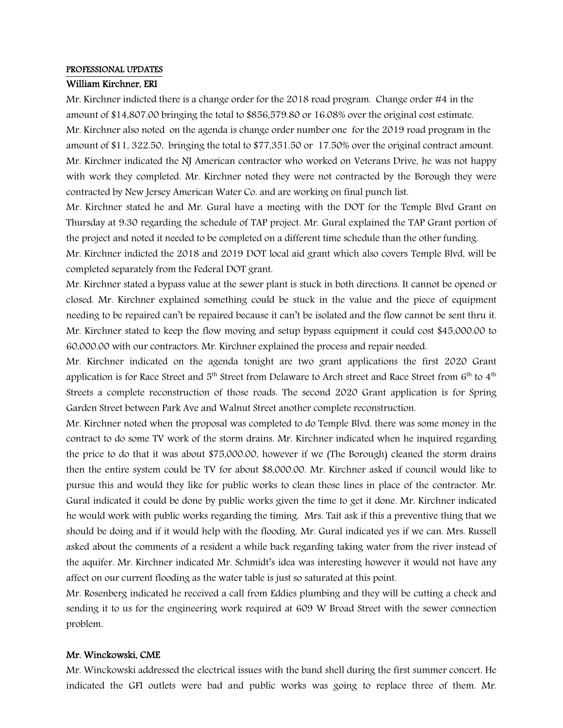#### PROFESSIONAL UPDATES

#### William Kirchner, ERI

Mr. Kirchner indicted there is a change order for the 2018 road program. Change order #4 in the amount of \$14,807.00 bringing the total to \$856,579.80 or 16.08% over the original cost estimate. Mr. Kirchner also noted on the agenda is change order number one for the 2019 road program in the amount of \$11, 322.50, bringing the total to \$77,351.50 or 17.50% over the original contract amount. Mr. Kirchner indicated the NJ American contractor who worked on Veterans Drive, he was not happy with work they completed. Mr. Kirchner noted they were not contracted by the Borough they were contracted by New Jersey American Water Co. and are working on final punch list.

Mr. Kirchner stated he and Mr. Gural have a meeting with the DOT for the Temple Blvd Grant on Thursday at 9:30 regarding the schedule of TAP project. Mr. Gural explained the TAP Grant portion of the project and noted it needed to be completed on a different time schedule than the other funding.

Mr. Kirchner indicted the 2018 and 2019 DOT local aid grant which also covers Temple Blvd, will be completed separately from the Federal DOT grant.

Mr. Kirchner stated a bypass value at the sewer plant is stuck in both directions. It cannot be opened or closed. Mr. Kirchner explained something could be stuck in the value and the piece of equipment needing to be repaired can't be repaired because it can't be isolated and the flow cannot be sent thru it. Mr. Kirchner stated to keep the flow moving and setup bypass equipment it could cost \$45,000.00 to 60,000.00 with our contractors. Mr. Kirchner explained the process and repair needed.

Mr. Kirchner indicated on the agenda tonight are two grant applications the first 2020 Grant application is for Race Street and  $5<sup>th</sup>$  Street from Delaware to Arch street and Race Street from 6<sup>th</sup> to 4<sup>th</sup> Streets a complete reconstruction of those roads. The second 2020 Grant application is for Spring Garden Street between Park Ave and Walnut Street another complete reconstruction.

Mr. Kirchner noted when the proposal was completed to do Temple Blvd. there was some money in the contract to do some TV work of the storm drains. Mr. Kirchner indicated when he inquired regarding the price to do that it was about \$75,000.00, however if we (The Borough) cleaned the storm drains then the entire system could be TV for about \$8,000.00. Mr. Kirchner asked if council would like to pursue this and would they like for public works to clean those lines in place of the contractor. Mr. Gural indicated it could be done by public works given the time to get it done. Mr. Kirchner indicated he would work with public works regarding the timing. Mrs. Tait ask if this a preventive thing that we should be doing and if it would help with the flooding. Mr. Gural indicated yes if we can. Mrs. Russell asked about the comments of a resident a while back regarding taking water from the river instead of the aquifer. Mr. Kirchner indicated Mr. Schmidt's idea was interesting however it would not have any affect on our current flooding as the water table is just so saturated at this point.

Mr. Rosenberg indicated he received a call from Eddies plumbing and they will be cutting a check and sending it to us for the engineering work required at 609 W Broad Street with the sewer connection problem.

### Mr. Winckowski, CME

Mr. Winckowski addressed the electrical issues with the band shell during the first summer concert. He indicated the GFI outlets were bad and public works was going to replace three of them. Mr.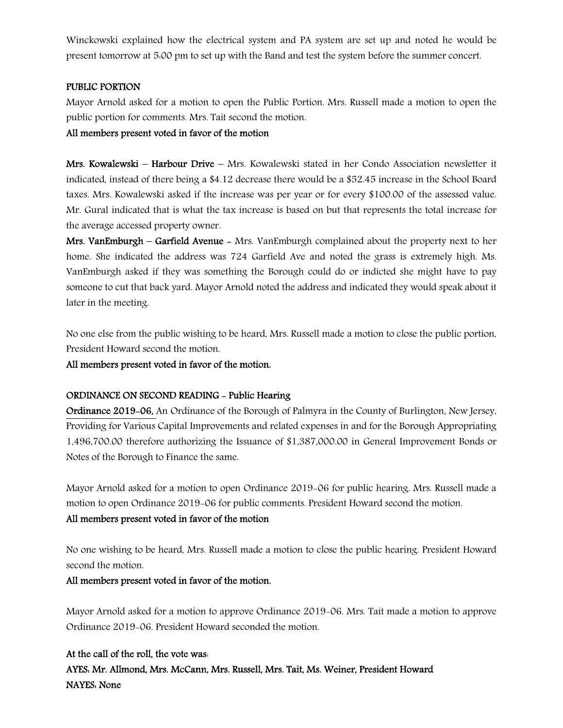Winckowski explained how the electrical system and PA system are set up and noted he would be present tomorrow at 5:00 pm to set up with the Band and test the system before the summer concert.

#### PUBLIC PORTION

Mayor Arnold asked for a motion to open the Public Portion. Mrs. Russell made a motion to open the public portion for comments. Mrs. Tait second the motion.

### All members present voted in favor of the motion

Mrs. Kowalewski – Harbour Drive – Mrs. Kowalewski stated in her Condo Association newsletter it indicated, instead of there being a \$4.12 decrease there would be a \$52.45 increase in the School Board taxes. Mrs. Kowalewski asked if the increase was per year or for every \$100.00 of the assessed value. Mr. Gural indicated that is what the tax increase is based on but that represents the total increase for the average accessed property owner.

Mrs. VanEmburgh – Garfield Avenue – Mrs. VanEmburgh complained about the property next to her home. She indicated the address was 724 Garfield Ave and noted the grass is extremely high. Ms. VanEmburgh asked if they was something the Borough could do or indicted she might have to pay someone to cut that back yard. Mayor Arnold noted the address and indicated they would speak about it later in the meeting.

No one else from the public wishing to be heard, Mrs. Russell made a motion to close the public portion, President Howard second the motion.

All members present voted in favor of the motion.

# ORDINANCE ON SECOND READING - Public Hearing

Ordinance 2019-06, An Ordinance of the Borough of Palmyra in the County of Burlington, New Jersey, Providing for Various Capital Improvements and related expenses in and for the Borough Appropriating 1,496,700.00 therefore authorizing the Issuance of \$1,387,000.00 in General Improvement Bonds or Notes of the Borough to Finance the same.

Mayor Arnold asked for a motion to open Ordinance 2019-06 for public hearing. Mrs. Russell made a motion to open Ordinance 2019-06 for public comments. President Howard second the motion.

# All members present voted in favor of the motion

No one wishing to be heard, Mrs. Russell made a motion to close the public hearing. President Howard second the motion.

# All members present voted in favor of the motion.

Mayor Arnold asked for a motion to approve Ordinance 2019-06. Mrs. Tait made a motion to approve Ordinance 2019-06. President Howard seconded the motion.

At the call of the roll, the vote was: AYES: Mr. Allmond, Mrs. McCann, Mrs. Russell, Mrs. Tait, Ms. Weiner, President Howard NAYES: None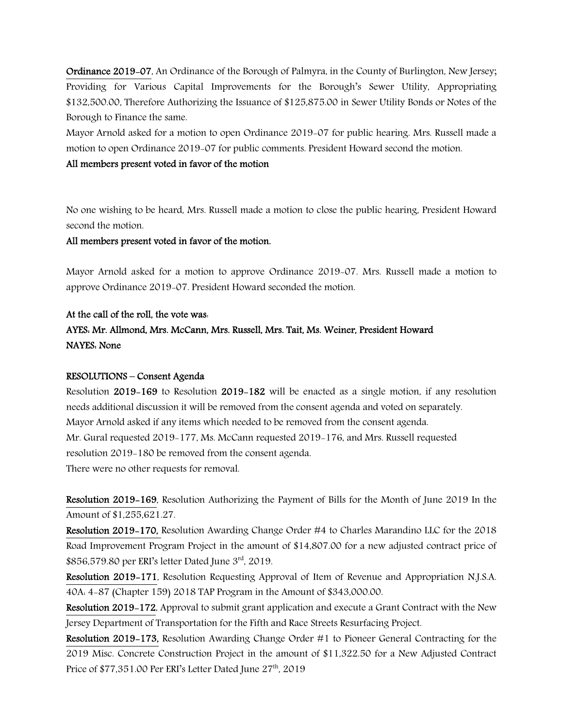Ordinance 2019-07, An Ordinance of the Borough of Palmyra, in the County of Burlington, New Jersey; Providing for Various Capital Improvements for the Borough's Sewer Utility, Appropriating \$132,500.00, Therefore Authorizing the Issuance of \$125,875.00 in Sewer Utility Bonds or Notes of the Borough to Finance the same.

Mayor Arnold asked for a motion to open Ordinance 2019-07 for public hearing. Mrs. Russell made a motion to open Ordinance 2019-07 for public comments. President Howard second the motion.

#### All members present voted in favor of the motion

No one wishing to be heard, Mrs. Russell made a motion to close the public hearing, President Howard second the motion.

#### All members present voted in favor of the motion.

Mayor Arnold asked for a motion to approve Ordinance 2019-07. Mrs. Russell made a motion to approve Ordinance 2019-07. President Howard seconded the motion.

### At the call of the roll, the vote was:

# AYES: Mr. Allmond, Mrs. McCann, Mrs. Russell, Mrs. Tait, Ms. Weiner, President Howard NAYES: None

#### RESOLUTIONS – Consent Agenda

Resolution 2019-169 to Resolution 2019-182 will be enacted as a single motion, if any resolution needs additional discussion it will be removed from the consent agenda and voted on separately. Mayor Arnold asked if any items which needed to be removed from the consent agenda. Mr. Gural requested 2019-177, Ms. McCann requested 2019-176, and Mrs. Russell requested resolution 2019-180 be removed from the consent agenda. There were no other requests for removal.

Resolution 2019-169, Resolution Authorizing the Payment of Bills for the Month of June 2019 In the Amount of \$1,255,621.27.

Resolution 2019-170, Resolution Awarding Change Order #4 to Charles Marandino LLC for the 2018 Road Improvement Program Project in the amount of \$14,807.00 for a new adjusted contract price of \$856,579.80 per ERI's letter Dated June 3rd, 2019.

Resolution 2019-171, Resolution Requesting Approval of Item of Revenue and Appropriation N.J.S.A. 40A: 4-87 (Chapter 159) 2018 TAP Program in the Amount of \$343,000.00.

Resolution 2019-172, Approval to submit grant application and execute a Grant Contract with the New Jersey Department of Transportation for the Fifth and Race Streets Resurfacing Project.

Resolution 2019-173, Resolution Awarding Change Order #1 to Pioneer General Contracting for the 2019 Misc. Concrete Construction Project in the amount of \$11,322.50 for a New Adjusted Contract Price of  $$77,351.00$  Per ERI's Letter Dated June  $27<sup>th</sup>$ , 2019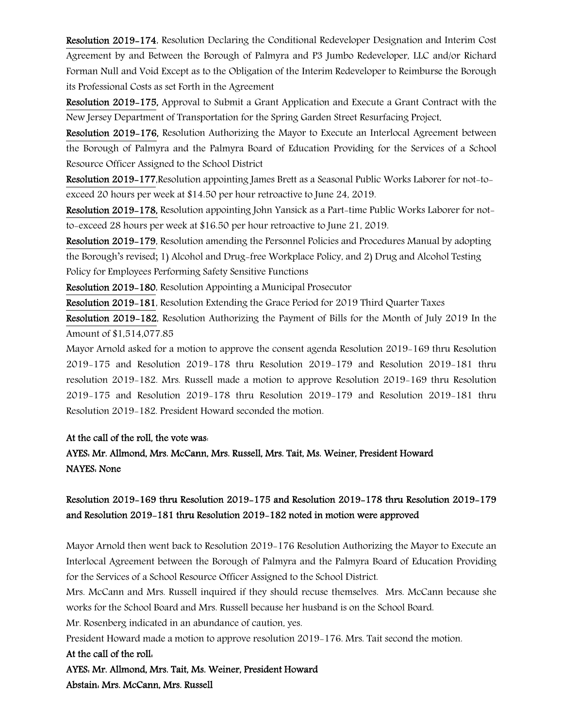Resolution 2019-174, Resolution Declaring the Conditional Redeveloper Designation and Interim Cost Agreement by and Between the Borough of Palmyra and P3 Jumbo Redeveloper, LLC and/or Richard Forman Null and Void Except as to the Obligation of the Interim Redeveloper to Reimburse the Borough its Professional Costs as set Forth in the Agreement

Resolution 2019-175, Approval to Submit a Grant Application and Execute a Grant Contract with the New Jersey Department of Transportation for the Spring Garden Street Resurfacing Project.

Resolution 2019-176, Resolution Authorizing the Mayor to Execute an Interlocal Agreement between the Borough of Palmyra and the Palmyra Board of Education Providing for the Services of a School Resource Officer Assigned to the School District

Resolution 2019-177,Resolution appointing James Brett as a Seasonal Public Works Laborer for not-toexceed 20 hours per week at \$14.50 per hour retroactive to June 24, 2019.

Resolution 2019-178, Resolution appointing John Yansick as a Part-time Public Works Laborer for notto-exceed 28 hours per week at \$16.50 per hour retroactive to June 21, 2019.

Resolution 2019-179, Resolution amending the Personnel Policies and Procedures Manual by adopting the Borough's revised; 1) Alcohol and Drug-free Workplace Policy, and 2) Drug and Alcohol Testing Policy for Employees Performing Safety Sensitive Functions

Resolution 2019-180, Resolution Appointing a Municipal Prosecutor

Resolution 2019-181, Resolution Extending the Grace Period for 2019 Third Quarter Taxes

Resolution 2019-182, Resolution Authorizing the Payment of Bills for the Month of July 2019 In the Amount of \$1,514,077.85

Mayor Arnold asked for a motion to approve the consent agenda Resolution 2019-169 thru Resolution 2019-175 and Resolution 2019-178 thru Resolution 2019-179 and Resolution 2019-181 thru resolution 2019-182. Mrs. Russell made a motion to approve Resolution 2019-169 thru Resolution 2019-175 and Resolution 2019-178 thru Resolution 2019-179 and Resolution 2019-181 thru Resolution 2019-182. President Howard seconded the motion.

# At the call of the roll, the vote was:

# AYES: Mr. Allmond, Mrs. McCann, Mrs. Russell, Mrs. Tait, Ms. Weiner, President Howard NAYES: None

# Resolution 2019-169 thru Resolution 2019-175 and Resolution 2019-178 thru Resolution 2019-179 and Resolution 2019-181 thru Resolution 2019-182 noted in motion were approved

Mayor Arnold then went back to Resolution 2019-176 Resolution Authorizing the Mayor to Execute an Interlocal Agreement between the Borough of Palmyra and the Palmyra Board of Education Providing for the Services of a School Resource Officer Assigned to the School District.

Mrs. McCann and Mrs. Russell inquired if they should recuse themselves. Mrs. McCann because she works for the School Board and Mrs. Russell because her husband is on the School Board.

Mr. Rosenberg indicated in an abundance of caution, yes.

President Howard made a motion to approve resolution 2019-176. Mrs. Tait second the motion.

# At the call of the roll:

AYES: Mr. Allmond, Mrs. Tait, Ms. Weiner, President Howard Abstain: Mrs. McCann, Mrs. Russell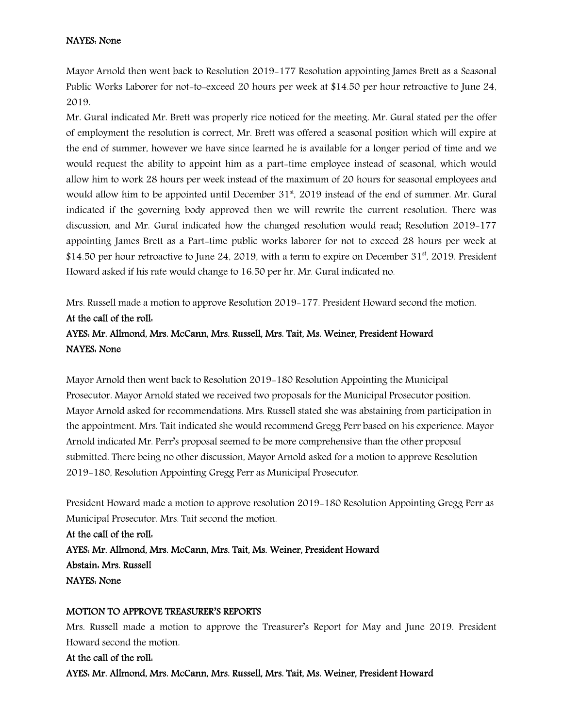### NAYES: None

Mayor Arnold then went back to Resolution 2019-177 Resolution appointing James Brett as a Seasonal Public Works Laborer for not-to-exceed 20 hours per week at \$14.50 per hour retroactive to June 24, 2019.

Mr. Gural indicated Mr. Brett was properly rice noticed for the meeting. Mr. Gural stated per the offer of employment the resolution is correct, Mr. Brett was offered a seasonal position which will expire at the end of summer, however we have since learned he is available for a longer period of time and we would request the ability to appoint him as a part-time employee instead of seasonal, which would allow him to work 28 hours per week instead of the maximum of 20 hours for seasonal employees and would allow him to be appointed until December 31<sup>st</sup>, 2019 instead of the end of summer. Mr. Gural indicated if the governing body approved then we will rewrite the current resolution. There was discussion, and Mr. Gural indicated how the changed resolution would read; Resolution 2019-177 appointing James Brett as a Part-time public works laborer for not to exceed 28 hours per week at  $$14.50$  per hour retroactive to June 24, 2019, with a term to expire on December 31<sup>st</sup>, 2019. President Howard asked if his rate would change to 16.50 per hr. Mr. Gural indicated no.

Mrs. Russell made a motion to approve Resolution 2019-177. President Howard second the motion. At the call of the roll: AYES: Mr. Allmond, Mrs. McCann, Mrs. Russell, Mrs. Tait, Ms. Weiner, President Howard NAYES: None

Mayor Arnold then went back to Resolution 2019-180 Resolution Appointing the Municipal Prosecutor. Mayor Arnold stated we received two proposals for the Municipal Prosecutor position. Mayor Arnold asked for recommendations. Mrs. Russell stated she was abstaining from participation in the appointment. Mrs. Tait indicated she would recommend Gregg Perr based on his experience. Mayor Arnold indicated Mr. Perr's proposal seemed to be more comprehensive than the other proposal submitted. There being no other discussion, Mayor Arnold asked for a motion to approve Resolution 2019-180, Resolution Appointing Gregg Perr as Municipal Prosecutor.

President Howard made a motion to approve resolution 2019-180 Resolution Appointing Gregg Perr as Municipal Prosecutor. Mrs. Tait second the motion.

At the call of the roll: AYES: Mr. Allmond, Mrs. McCann, Mrs. Tait, Ms. Weiner, President Howard Abstain: Mrs. Russell NAYES: None

#### MOTION TO APPROVE TREASURER'S REPORTS

Mrs. Russell made a motion to approve the Treasurer's Report for May and June 2019. President Howard second the motion.

At the call of the roll: AYES: Mr. Allmond, Mrs. McCann, Mrs. Russell, Mrs. Tait, Ms. Weiner, President Howard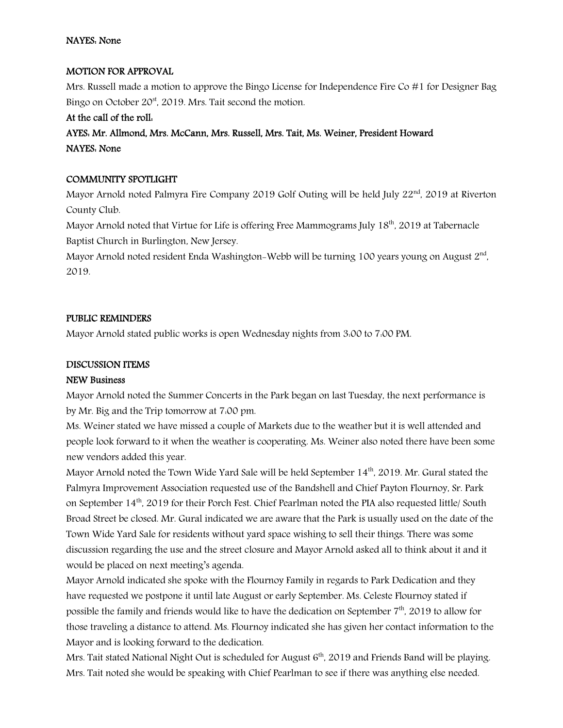# MOTION FOR APPROVAL

Mrs. Russell made a motion to approve the Bingo License for Independence Fire Co #1 for Designer Bag Bingo on October  $20<sup>st</sup>$ , 2019. Mrs. Tait second the motion.

# At the call of the roll:

# AYES: Mr. Allmond, Mrs. McCann, Mrs. Russell, Mrs. Tait, Ms. Weiner, President Howard NAYES: None

# COMMUNITY SPOTLIGHT

Mayor Arnold noted Palmyra Fire Company 2019 Golf Outing will be held July 22<sup>nd</sup>, 2019 at Riverton County Club.

Mayor Arnold noted that Virtue for Life is offering Free Mammograms July 18<sup>th</sup>, 2019 at Tabernacle Baptist Church in Burlington, New Jersey.

Mayor Arnold noted resident Enda Washington-Webb will be turning 100 years young on August 2<sup>nd</sup>. 2019.

# PUBLIC REMINDERS

Mayor Arnold stated public works is open Wednesday nights from 3:00 to 7:00 PM.

### DISCUSSION ITEMS

#### NEW Business

Mayor Arnold noted the Summer Concerts in the Park began on last Tuesday, the next performance is by Mr. Big and the Trip tomorrow at 7:00 pm.

Ms. Weiner stated we have missed a couple of Markets due to the weather but it is well attended and people look forward to it when the weather is cooperating. Ms. Weiner also noted there have been some new vendors added this year.

Mayor Arnold noted the Town Wide Yard Sale will be held September 14<sup>th</sup>, 2019. Mr. Gural stated the Palmyra Improvement Association requested use of the Bandshell and Chief Payton Flournoy, Sr. Park on September 14<sup>th</sup>, 2019 for their Porch Fest. Chief Pearlman noted the PIA also requested little/ South Broad Street be closed. Mr. Gural indicated we are aware that the Park is usually used on the date of the Town Wide Yard Sale for residents without yard space wishing to sell their things. There was some discussion regarding the use and the street closure and Mayor Arnold asked all to think about it and it would be placed on next meeting's agenda.

Mayor Arnold indicated she spoke with the Flournoy Family in regards to Park Dedication and they have requested we postpone it until late August or early September. Ms. Celeste Flournoy stated if possible the family and friends would like to have the dedication on September 7<sup>th</sup>. 2019 to allow for those traveling a distance to attend. Ms. Flournoy indicated she has given her contact information to the Mayor and is looking forward to the dedication.

Mrs. Tait stated National Night Out is scheduled for August 6<sup>th</sup>, 2019 and Friends Band will be playing. Mrs. Tait noted she would be speaking with Chief Pearlman to see if there was anything else needed.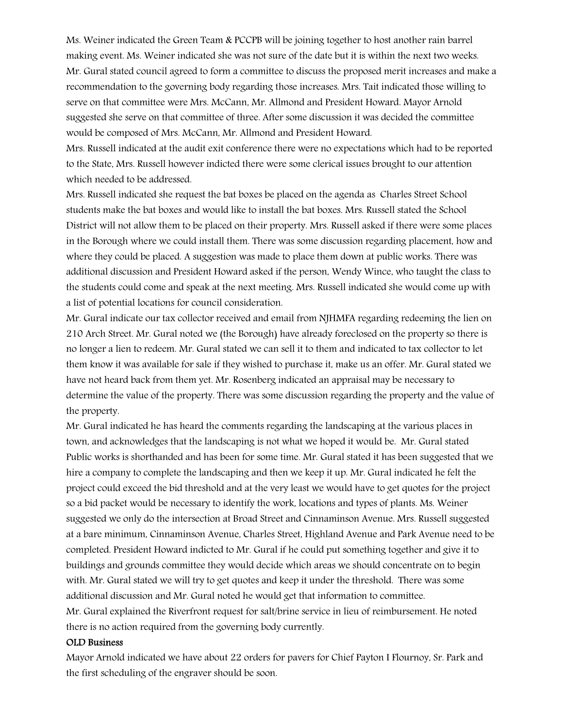Ms. Weiner indicated the Green Team & PCCPB will be joining together to host another rain barrel making event. Ms. Weiner indicated she was not sure of the date but it is within the next two weeks. Mr. Gural stated council agreed to form a committee to discuss the proposed merit increases and make a recommendation to the governing body regarding those increases. Mrs. Tait indicated those willing to serve on that committee were Mrs. McCann, Mr. Allmond and President Howard. Mayor Arnold suggested she serve on that committee of three. After some discussion it was decided the committee would be composed of Mrs. McCann, Mr. Allmond and President Howard.

Mrs. Russell indicated at the audit exit conference there were no expectations which had to be reported to the State, Mrs. Russell however indicted there were some clerical issues brought to our attention which needed to be addressed.

Mrs. Russell indicated she request the bat boxes be placed on the agenda as Charles Street School students make the bat boxes and would like to install the bat boxes. Mrs. Russell stated the School District will not allow them to be placed on their property. Mrs. Russell asked if there were some places in the Borough where we could install them. There was some discussion regarding placement, how and where they could be placed. A suggestion was made to place them down at public works. There was additional discussion and President Howard asked if the person, Wendy Wince, who taught the class to the students could come and speak at the next meeting. Mrs. Russell indicated she would come up with a list of potential locations for council consideration.

Mr. Gural indicate our tax collector received and email from NJHMFA regarding redeeming the lien on 210 Arch Street. Mr. Gural noted we (the Borough) have already foreclosed on the property so there is no longer a lien to redeem. Mr. Gural stated we can sell it to them and indicated to tax collector to let them know it was available for sale if they wished to purchase it, make us an offer. Mr. Gural stated we have not heard back from them yet. Mr. Rosenberg indicated an appraisal may be necessary to determine the value of the property. There was some discussion regarding the property and the value of the property.

Mr. Gural indicated he has heard the comments regarding the landscaping at the various places in town, and acknowledges that the landscaping is not what we hoped it would be. Mr. Gural stated Public works is shorthanded and has been for some time. Mr. Gural stated it has been suggested that we hire a company to complete the landscaping and then we keep it up. Mr. Gural indicated he felt the project could exceed the bid threshold and at the very least we would have to get quotes for the project so a bid packet would be necessary to identify the work, locations and types of plants. Ms. Weiner suggested we only do the intersection at Broad Street and Cinnaminson Avenue. Mrs. Russell suggested at a bare minimum, Cinnaminson Avenue, Charles Street, Highland Avenue and Park Avenue need to be completed. President Howard indicted to Mr. Gural if he could put something together and give it to buildings and grounds committee they would decide which areas we should concentrate on to begin with. Mr. Gural stated we will try to get quotes and keep it under the threshold. There was some additional discussion and Mr. Gural noted he would get that information to committee. Mr. Gural explained the Riverfront request for salt/brine service in lieu of reimbursement. He noted there is no action required from the governing body currently.

#### OLD Business

Mayor Arnold indicated we have about 22 orders for pavers for Chief Payton I Flournoy, Sr. Park and the first scheduling of the engraver should be soon.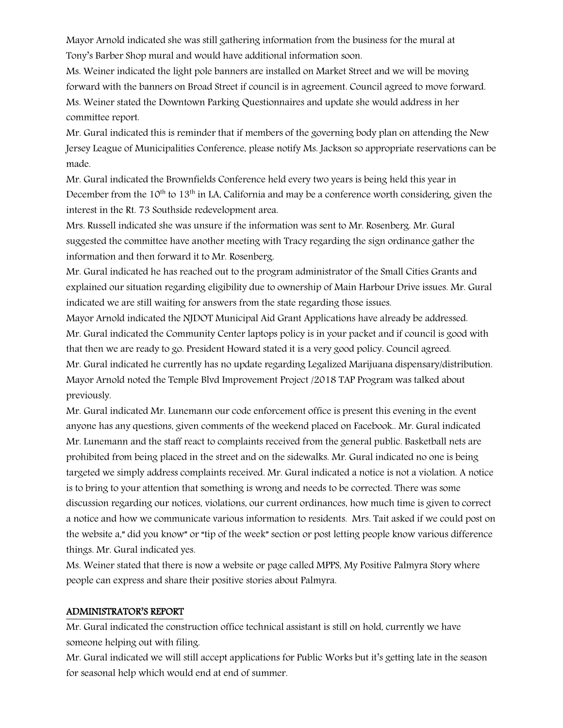Mayor Arnold indicated she was still gathering information from the business for the mural at Tony's Barber Shop mural and would have additional information soon.

Ms. Weiner indicated the light pole banners are installed on Market Street and we will be moving forward with the banners on Broad Street if council is in agreement. Council agreed to move forward. Ms. Weiner stated the Downtown Parking Questionnaires and update she would address in her committee report.

Mr. Gural indicated this is reminder that if members of the governing body plan on attending the New Jersey League of Municipalities Conference, please notify Ms. Jackson so appropriate reservations can be made.

Mr. Gural indicated the Brownfields Conference held every two years is being held this year in December from the  $10^{th}$  to  $13^{th}$  in LA, California and may be a conference worth considering, given the interest in the Rt. 73 Southside redevelopment area.

Mrs. Russell indicated she was unsure if the information was sent to Mr. Rosenberg. Mr. Gural suggested the committee have another meeting with Tracy regarding the sign ordinance gather the information and then forward it to Mr. Rosenberg.

Mr. Gural indicated he has reached out to the program administrator of the Small Cities Grants and explained our situation regarding eligibility due to ownership of Main Harbour Drive issues. Mr. Gural indicated we are still waiting for answers from the state regarding those issues.

Mayor Arnold indicated the NJDOT Municipal Aid Grant Applications have already be addressed. Mr. Gural indicated the Community Center laptops policy is in your packet and if council is good with that then we are ready to go. President Howard stated it is a very good policy. Council agreed. Mr. Gural indicated he currently has no update regarding Legalized Marijuana dispensary/distribution. Mayor Arnold noted the Temple Blvd Improvement Project /2018 TAP Program was talked about previously.

Mr. Gural indicated Mr. Lunemann our code enforcement office is present this evening in the event anyone has any questions, given comments of the weekend placed on Facebook.. Mr. Gural indicated Mr. Lunemann and the staff react to complaints received from the general public. Basketball nets are prohibited from being placed in the street and on the sidewalks. Mr. Gural indicated no one is being targeted we simply address complaints received. Mr. Gural indicated a notice is not a violation. A notice is to bring to your attention that something is wrong and needs to be corrected. There was some discussion regarding our notices, violations, our current ordinances, how much time is given to correct a notice and how we communicate various information to residents. Mrs. Tait asked if we could post on the website a," did you know" or "tip of the week" section or post letting people know various difference things. Mr. Gural indicated yes.

Ms. Weiner stated that there is now a website or page called MPPS, My Positive Palmyra Story where people can express and share their positive stories about Palmyra.

# ADMINISTRATOR'S REPORT

Mr. Gural indicated the construction office technical assistant is still on hold, currently we have someone helping out with filing.

Mr. Gural indicated we will still accept applications for Public Works but it's getting late in the season for seasonal help which would end at end of summer.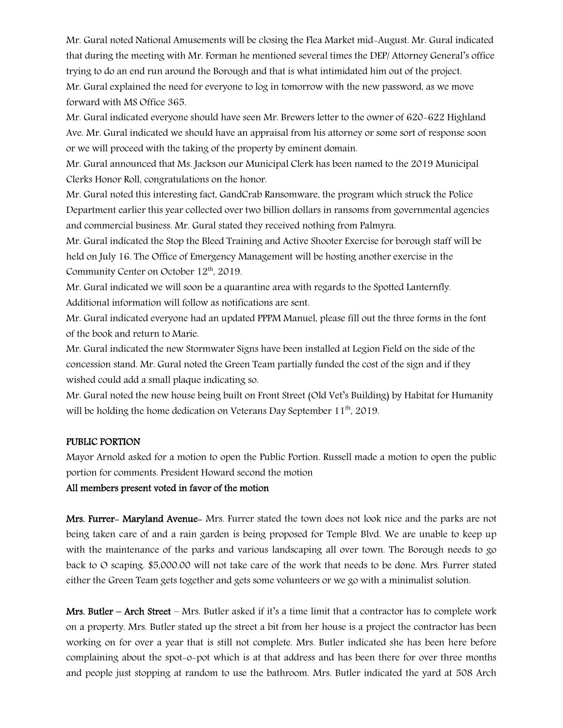Mr. Gural noted National Amusements will be closing the Flea Market mid-August. Mr. Gural indicated that during the meeting with Mr. Forman he mentioned several times the DEP/ Attorney General's office trying to do an end run around the Borough and that is what intimidated him out of the project. Mr. Gural explained the need for everyone to log in tomorrow with the new password, as we move

Mr. Gural indicated everyone should have seen Mr. Brewers letter to the owner of 620-622 Highland Ave. Mr. Gural indicated we should have an appraisal from his attorney or some sort of response soon or we will proceed with the taking of the property by eminent domain.

Mr. Gural announced that Ms. Jackson our Municipal Clerk has been named to the 2019 Municipal Clerks Honor Roll, congratulations on the honor.

Mr. Gural noted this interesting fact, GandCrab Ransomware, the program which struck the Police Department earlier this year collected over two billion dollars in ransoms from governmental agencies and commercial business. Mr. Gural stated they received nothing from Palmyra.

Mr. Gural indicated the Stop the Bleed Training and Active Shooter Exercise for borough staff will be held on July 16. The Office of Emergency Management will be hosting another exercise in the Community Center on October 12<sup>th</sup>, 2019.

Mr. Gural indicated we will soon be a quarantine area with regards to the Spotted Lanternfly. Additional information will follow as notifications are sent.

Mr. Gural indicated everyone had an updated PPPM Manuel, please fill out the three forms in the font of the book and return to Marie.

Mr. Gural indicated the new Stormwater Signs have been installed at Legion Field on the side of the concession stand. Mr. Gural noted the Green Team partially funded the cost of the sign and if they wished could add a small plaque indicating so.

Mr. Gural noted the new house being built on Front Street (Old Vet's Building) by Habitat for Humanity will be holding the home dedication on Veterans Day September  $11<sup>th</sup>$ , 2019.

### PUBLIC PORTION

forward with MS Office 365.

Mayor Arnold asked for a motion to open the Public Portion. Russell made a motion to open the public portion for comments. President Howard second the motion

#### All members present voted in favor of the motion

Mrs. Furrer- Maryland Avenue- Mrs. Furrer stated the town does not look nice and the parks are not being taken care of and a rain garden is being proposed for Temple Blvd. We are unable to keep up with the maintenance of the parks and various landscaping all over town. The Borough needs to go back to O scaping. \$5,000.00 will not take care of the work that needs to be done. Mrs. Furrer stated either the Green Team gets together and gets some volunteers or we go with a minimalist solution.

Mrs. Butler – Arch Street – Mrs. Butler asked if it's a time limit that a contractor has to complete work on a property. Mrs. Butler stated up the street a bit from her house is a project the contractor has been working on for over a year that is still not complete. Mrs. Butler indicated she has been here before complaining about the spot-o-pot which is at that address and has been there for over three months and people just stopping at random to use the bathroom. Mrs. Butler indicated the yard at 508 Arch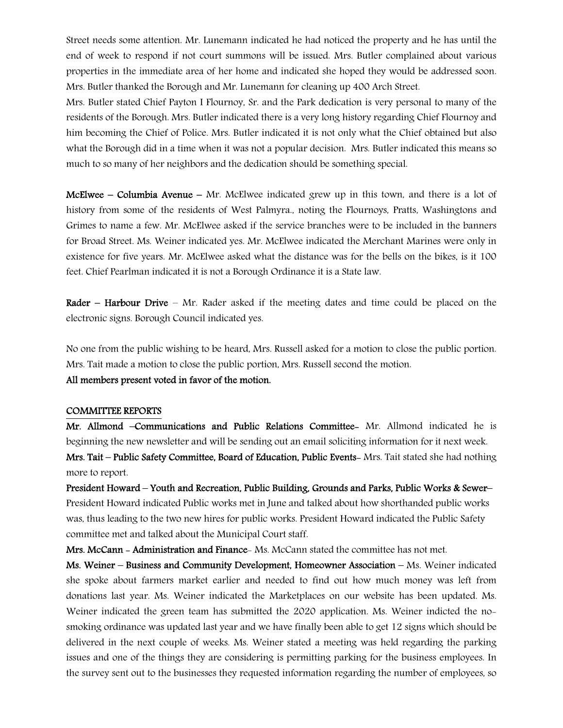Street needs some attention. Mr. Lunemann indicated he had noticed the property and he has until the end of week to respond if not court summons will be issued. Mrs. Butler complained about various properties in the immediate area of her home and indicated she hoped they would be addressed soon. Mrs. Butler thanked the Borough and Mr. Lunemann for cleaning up 400 Arch Street.

Mrs. Butler stated Chief Payton I Flournoy, Sr. and the Park dedication is very personal to many of the residents of the Borough. Mrs. Butler indicated there is a very long history regarding Chief Flournoy and him becoming the Chief of Police. Mrs. Butler indicated it is not only what the Chief obtained but also what the Borough did in a time when it was not a popular decision. Mrs. Butler indicated this means so much to so many of her neighbors and the dedication should be something special.

**McElwee – Columbia Avenue –** Mr. McElwee indicated grew up in this town, and there is a lot of history from some of the residents of West Palmyra., noting the Flournoys, Pratts, Washingtons and Grimes to name a few. Mr. McElwee asked if the service branches were to be included in the banners for Broad Street. Ms. Weiner indicated yes. Mr. McElwee indicated the Merchant Marines were only in existence for five years. Mr. McElwee asked what the distance was for the bells on the bikes, is it 100 feet. Chief Pearlman indicated it is not a Borough Ordinance it is a State law.

**Rader – Harbour Drive –** Mr. Rader asked if the meeting dates and time could be placed on the electronic signs. Borough Council indicated yes.

No one from the public wishing to be heard, Mrs. Russell asked for a motion to close the public portion. Mrs. Tait made a motion to close the public portion, Mrs. Russell second the motion.

#### All members present voted in favor of the motion.

#### COMMITTEE REPORTS

Mr. Allmond –Communications and Public Relations Committee- Mr. Allmond indicated he is beginning the new newsletter and will be sending out an email soliciting information for it next week. Mrs. Tait – Public Safety Committee, Board of Education, Public Events- Mrs. Tait stated she had nothing more to report.

President Howard – Youth and Recreation, Public Building, Grounds and Parks, Public Works & Sewer– President Howard indicated Public works met in June and talked about how shorthanded public works was, thus leading to the two new hires for public works. President Howard indicated the Public Safety committee met and talked about the Municipal Court staff.

Mrs. McCann - Administration and Finance- Ms. McCann stated the committee has not met.

Ms. Weiner – Business and Community Development, Homeowner Association – Ms. Weiner indicated she spoke about farmers market earlier and needed to find out how much money was left from donations last year. Ms. Weiner indicated the Marketplaces on our website has been updated. Ms. Weiner indicated the green team has submitted the 2020 application. Ms. Weiner indicted the nosmoking ordinance was updated last year and we have finally been able to get 12 signs which should be delivered in the next couple of weeks. Ms. Weiner stated a meeting was held regarding the parking issues and one of the things they are considering is permitting parking for the business employees. In the survey sent out to the businesses they requested information regarding the number of employees, so